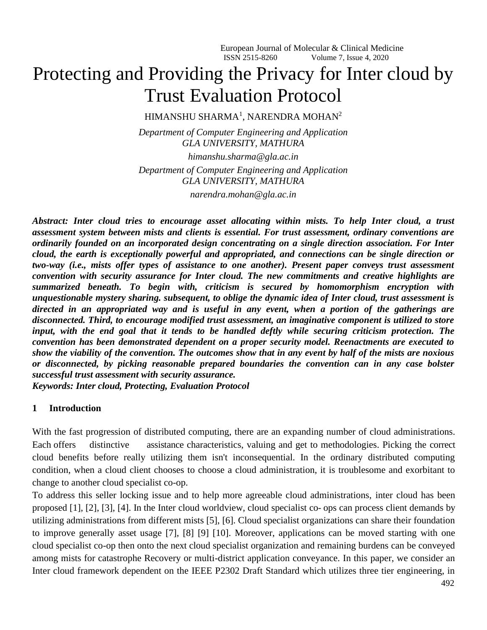# Protecting and Providing the Privacy for Inter cloud by Trust Evaluation Protocol

HIMANSHU SHARMA<sup>1</sup>, NARENDRA MOHAN<sup>2</sup>

*Department of Computer Engineering and Application GLA UNIVERSITY, MATHURA*

*[himanshu.sharma@gla.ac.in](mailto:himanshu.sharma@gla.ac.in) Department of Computer Engineering and Application GLA UNIVERSITY, MATHURA narendra.mohan@gla.ac.in*

*Abstract: Inter cloud tries to encourage asset allocating within mists. To help Inter cloud, a trust assessment system between mists and clients is essential. For trust assessment, ordinary conventions are ordinarily founded on an incorporated design concentrating on a single direction association. For Inter cloud, the earth is exceptionally powerful and appropriated, and connections can be single direction or two-way (i.e., mists offer types of assistance to one another). Present paper conveys trust assessment convention with security assurance for Inter cloud. The new commitments and creative highlights are summarized beneath. To begin with, criticism is secured by homomorphism encryption with unquestionable mystery sharing. subsequent, to oblige the dynamic idea of Inter cloud, trust assessment is directed in an appropriated way and is useful in any event, when a portion of the gatherings are disconnected. Third, to encourage modified trust assessment, an imaginative component is utilized to store input, with the end goal that it tends to be handled deftly while securing criticism protection. The convention has been demonstrated dependent on a proper security model. Reenactments are executed to show the viability of the convention. The outcomes show that in any event by half of the mists are noxious or disconnected, by picking reasonable prepared boundaries the convention can in any case bolster successful trust assessment with security assurance. Keywords: Inter cloud, Protecting, Evaluation Protocol* 

#### **1 Introduction**

With the fast progression of distributed computing, there are an expanding number of cloud administrations. Each offers distinctive assistance characteristics, valuing and get to methodologies. Picking the correct cloud benefits before really utilizing them isn't inconsequential. In the ordinary distributed computing condition, when a cloud client chooses to choose a cloud administration, it is troublesome and exorbitant to change to another cloud specialist co-op.

To address this seller locking issue and to help more agreeable cloud administrations, inter cloud has been proposed [1], [2], [3], [4]. In the Inter cloud worldview, cloud specialist co- ops can process client demands by utilizing administrations from different mists [5], [6]. Cloud specialist organizations can share their foundation to improve generally asset usage [7], [8] [9] [10]. Moreover, applications can be moved starting with one cloud specialist co-op then onto the next cloud specialist organization and remaining burdens can be conveyed among mists for catastrophe Recovery or multi-district application conveyance. In this paper, we consider an Inter cloud framework dependent on the IEEE P2302 Draft Standard which utilizes three tier engineering, in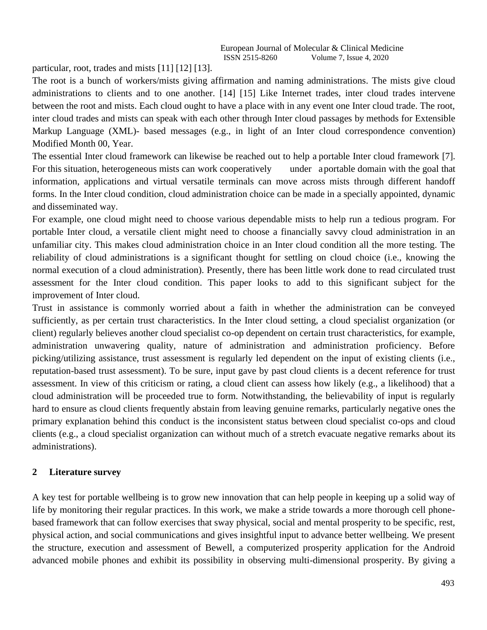particular, root, trades and mists [11] [12] [13].

The root is a bunch of workers/mists giving affirmation and naming administrations. The mists give cloud administrations to clients and to one another. [14] [15] Like Internet trades, inter cloud trades intervene between the root and mists. Each cloud ought to have a place with in any event one Inter cloud trade. The root, inter cloud trades and mists can speak with each other through Inter cloud passages by methods for Extensible Markup Language (XML)- based messages (e.g., in light of an Inter cloud correspondence convention) Modified Month 00, Year.

The essential Inter cloud framework can likewise be reached out to help a portable Inter cloud framework [7]. For this situation, heterogeneous mists can work cooperatively under a portable domain with the goal that information, applications and virtual versatile terminals can move across mists through different handoff forms. In the Inter cloud condition, cloud administration choice can be made in a specially appointed, dynamic and disseminated way.

For example, one cloud might need to choose various dependable mists to help run a tedious program. For portable Inter cloud, a versatile client might need to choose a financially savvy cloud administration in an unfamiliar city. This makes cloud administration choice in an Inter cloud condition all the more testing. The reliability of cloud administrations is a significant thought for settling on cloud choice (i.e., knowing the normal execution of a cloud administration). Presently, there has been little work done to read circulated trust assessment for the Inter cloud condition. This paper looks to add to this significant subject for the improvement of Inter cloud.

Trust in assistance is commonly worried about a faith in whether the administration can be conveyed sufficiently, as per certain trust characteristics. In the Inter cloud setting, a cloud specialist organization (or client) regularly believes another cloud specialist co-op dependent on certain trust characteristics, for example, administration unwavering quality, nature of administration and administration proficiency. Before picking/utilizing assistance, trust assessment is regularly led dependent on the input of existing clients (i.e., reputation-based trust assessment). To be sure, input gave by past cloud clients is a decent reference for trust assessment. In view of this criticism or rating, a cloud client can assess how likely (e.g., a likelihood) that a cloud administration will be proceeded true to form. Notwithstanding, the believability of input is regularly hard to ensure as cloud clients frequently abstain from leaving genuine remarks, particularly negative ones the primary explanation behind this conduct is the inconsistent status between cloud specialist co-ops and cloud clients (e.g., a cloud specialist organization can without much of a stretch evacuate negative remarks about its administrations).

#### **2 Literature survey**

A key test for portable wellbeing is to grow new innovation that can help people in keeping up a solid way of life by monitoring their regular practices. In this work, we make a stride towards a more thorough cell phonebased framework that can follow exercises that sway physical, social and mental prosperity to be specific, rest, physical action, and social communications and gives insightful input to advance better wellbeing. We present the structure, execution and assessment of Bewell, a computerized prosperity application for the Android advanced mobile phones and exhibit its possibility in observing multi-dimensional prosperity. By giving a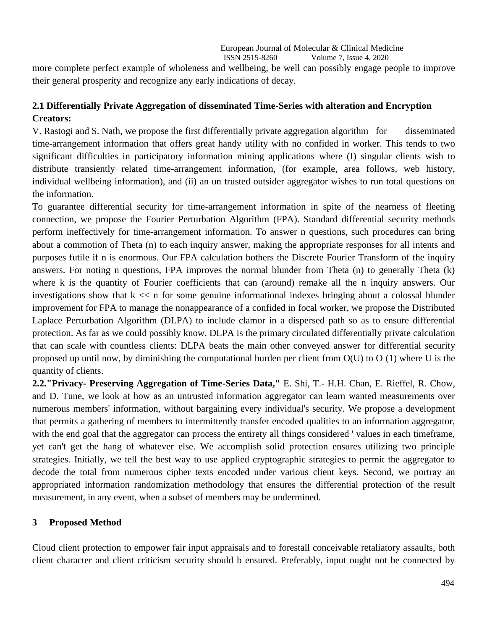more complete perfect example of wholeness and wellbeing, be well can possibly engage people to improve their general prosperity and recognize any early indications of decay.

## **2.1 Differentially Private Aggregation of disseminated Time-Series with alteration and Encryption Creators:**

V. Rastogi and S. Nath, we propose the first differentially private aggregation algorithm for disseminated time-arrangement information that offers great handy utility with no confided in worker. This tends to two significant difficulties in participatory information mining applications where (I) singular clients wish to distribute transiently related time-arrangement information, (for example, area follows, web history, individual wellbeing information), and (ii) an un trusted outsider aggregator wishes to run total questions on the information.

To guarantee differential security for time-arrangement information in spite of the nearness of fleeting connection, we propose the Fourier Perturbation Algorithm (FPA). Standard differential security methods perform ineffectively for time-arrangement information. To answer n questions, such procedures can bring about a commotion of Theta (n) to each inquiry answer, making the appropriate responses for all intents and purposes futile if n is enormous. Our FPA calculation bothers the Discrete Fourier Transform of the inquiry answers. For noting n questions, FPA improves the normal blunder from Theta (n) to generally Theta (k) where k is the quantity of Fourier coefficients that can (around) remake all the n inquiry answers. Our investigations show that  $k \ll n$  for some genuine informational indexes bringing about a colossal blunder improvement for FPA to manage the nonappearance of a confided in focal worker, we propose the Distributed Laplace Perturbation Algorithm (DLPA) to include clamor in a dispersed path so as to ensure differential protection. As far as we could possibly know, DLPA is the primary circulated differentially private calculation that can scale with countless clients: DLPA beats the main other conveyed answer for differential security proposed up until now, by diminishing the computational burden per client from O(U) to O (1) where U is the quantity of clients.

**2.2."Privacy- Preserving Aggregation of Time-Series Data,"** E. Shi, T.- H.H. Chan, E. Rieffel, R. Chow, and D. Tune, we look at how as an untrusted information aggregator can learn wanted measurements over numerous members' information, without bargaining every individual's security. We propose a development that permits a gathering of members to intermittently transfer encoded qualities to an information aggregator, with the end goal that the aggregator can process the entirety all things considered 'values in each timeframe, yet can't get the hang of whatever else. We accomplish solid protection ensures utilizing two principle strategies. Initially, we tell the best way to use applied cryptographic strategies to permit the aggregator to decode the total from numerous cipher texts encoded under various client keys. Second, we portray an appropriated information randomization methodology that ensures the differential protection of the result measurement, in any event, when a subset of members may be undermined.

## **3 Proposed Method**

Cloud client protection to empower fair input appraisals and to forestall conceivable retaliatory assaults, both client character and client criticism security should b ensured. Preferably, input ought not be connected by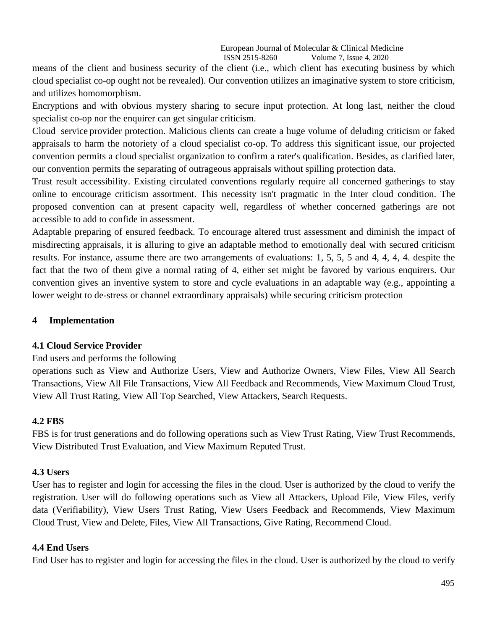means of the client and business security of the client (i.e., which client has executing business by which cloud specialist co-op ought not be revealed). Our convention utilizes an imaginative system to store criticism, and utilizes homomorphism.

Encryptions and with obvious mystery sharing to secure input protection. At long last, neither the cloud specialist co-op nor the enquirer can get singular criticism.

Cloud service provider protection. Malicious clients can create a huge volume of deluding criticism or faked appraisals to harm the notoriety of a cloud specialist co-op. To address this significant issue, our projected convention permits a cloud specialist organization to confirm a rater's qualification. Besides, as clarified later, our convention permits the separating of outrageous appraisals without spilling protection data.

Trust result accessibility. Existing circulated conventions regularly require all concerned gatherings to stay online to encourage criticism assortment. This necessity isn't pragmatic in the Inter cloud condition. The proposed convention can at present capacity well, regardless of whether concerned gatherings are not accessible to add to confide in assessment.

Adaptable preparing of ensured feedback. To encourage altered trust assessment and diminish the impact of misdirecting appraisals, it is alluring to give an adaptable method to emotionally deal with secured criticism results. For instance, assume there are two arrangements of evaluations: 1, 5, 5, 5 and 4, 4, 4, 4. despite the fact that the two of them give a normal rating of 4, either set might be favored by various enquirers. Our convention gives an inventive system to store and cycle evaluations in an adaptable way (e.g., appointing a lower weight to de-stress or channel extraordinary appraisals) while securing criticism protection

#### **4 Implementation**

#### **4.1 Cloud Service Provider**

#### End users and performs the following

operations such as View and Authorize Users, View and Authorize Owners, View Files, View All Search Transactions, View All File Transactions, View All Feedback and Recommends, View Maximum Cloud Trust, View All Trust Rating, View All Top Searched, View Attackers, Search Requests.

#### **4.2 FBS**

FBS is for trust generations and do following operations such as View Trust Rating, View Trust Recommends, View Distributed Trust Evaluation, and View Maximum Reputed Trust.

#### **4.3 Users**

User has to register and login for accessing the files in the cloud. User is authorized by the cloud to verify the registration. User will do following operations such as View all Attackers, Upload File, View Files, verify data (Verifiability), View Users Trust Rating, View Users Feedback and Recommends, View Maximum Cloud Trust, View and Delete, Files, View All Transactions, Give Rating, Recommend Cloud.

## **4.4 End Users**

End User has to register and login for accessing the files in the cloud. User is authorized by the cloud to verify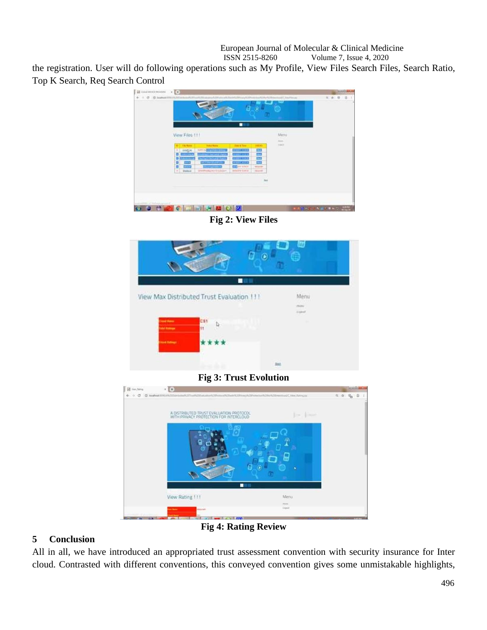European Journal of Molecular & Clinical Medicine<br>ISSN 2515-8260 Volume 7, Issue 4, 2020 Volume 7, Issue 4, 2020

the registration. User will do following operations such as My Profile, View Files Search Files, Search Ratio, Top K Search, Req Search Control



**Fig 2: View Files**



**Fig 3: Trust Evolution**



**Fig 4: Rating Review**

## **5 Conclusion**

All in all, we have introduced an appropriated trust assessment convention with security insurance for Inter cloud. Contrasted with different conventions, this conveyed convention gives some unmistakable highlights,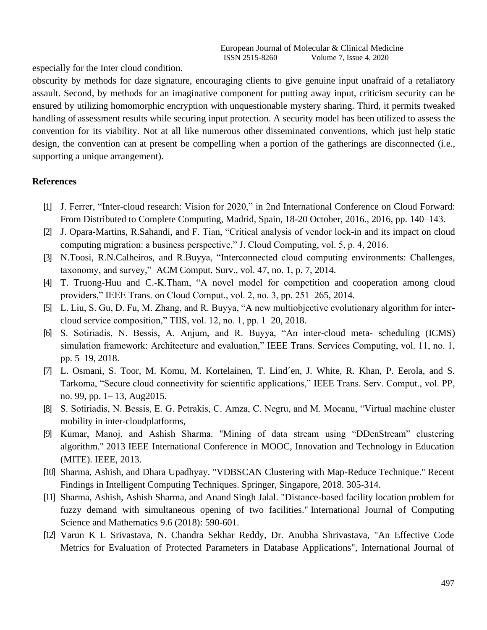especially for the Inter cloud condition.

obscurity by methods for daze signature, encouraging clients to give genuine input unafraid of a retaliatory assault. Second, by methods for an imaginative component for putting away input, criticism security can be ensured by utilizing homomorphic encryption with unquestionable mystery sharing. Third, it permits tweaked handling of assessment results while securing input protection. A security model has been utilized to assess the convention for its viability. Not at all like numerous other disseminated conventions, which just help static design, the convention can at present be compelling when a portion of the gatherings are disconnected (i.e., supporting a unique arrangement).

### **References**

- [1] J. Ferrer, "Inter-cloud research: Vision for 2020," in 2nd International Conference on Cloud Forward: From Distributed to Complete Computing, Madrid, Spain, 18-20 October, 2016., 2016, pp. 140–143.
- [2] J. Opara-Martins, R.Sahandi, and F. Tian, "Critical analysis of vendor lock-in and its impact on cloud computing migration: a business perspective," J. Cloud Computing, vol. 5, p. 4, 2016.
- [3] N.Toosi, R.N.Calheiros, and R.Buyya, "Interconnected cloud computing environments: Challenges, taxonomy, and survey," ACM Comput. Surv., vol. 47, no. 1, p. 7, 2014.
- [4] T. Truong-Huu and C.-K.Tham, "A novel model for competition and cooperation among cloud providers," IEEE Trans. on Cloud Comput., vol. 2, no. 3, pp. 251–265, 2014.
- [5] L. Liu, S. Gu, D. Fu, M. Zhang, and R. Buyya, "A new multiobjective evolutionary algorithm for intercloud service composition," TIIS, vol. 12, no. 1, pp. 1–20, 2018.
- [6] S. Sotiriadis, N. Bessis, A. Anjum, and R. Buyya, "An inter-cloud meta- scheduling (ICMS) simulation framework: Architecture and evaluation," IEEE Trans. Services Computing, vol. 11, no. 1, pp. 5–19, 2018.
- [7] L. Osmani, S. Toor, M. Komu, M. Kortelainen, T. Lind´en, J. White, R. Khan, P. Eerola, and S. Tarkoma, "Secure cloud connectivity for scientific applications," IEEE Trans. Serv. Comput., vol. PP, no. 99, pp. 1– 13, Aug2015.
- [8] S. Sotiriadis, N. Bessis, E. G. Petrakis, C. Amza, C. Negru, and M. Mocanu, "Virtual machine cluster mobility in inter-cloudplatforms,
- [9] Kumar, Manoj, and Ashish Sharma. "Mining of data stream using "DDenStream" clustering algorithm." 2013 IEEE International Conference in MOOC, Innovation and Technology in Education (MITE). IEEE, 2013.
- [10] Sharma, Ashish, and Dhara Upadhyay. "VDBSCAN Clustering with Map-Reduce Technique." Recent Findings in Intelligent Computing Techniques. Springer, Singapore, 2018. 305-314.
- [11] Sharma, Ashish, Ashish Sharma, and Anand Singh Jalal. "Distance-based facility location problem for fuzzy demand with simultaneous opening of two facilities." International Journal of Computing Science and Mathematics 9.6 (2018): 590-601.
- [12] Varun K L Srivastava, N. Chandra Sekhar Reddy, Dr. Anubha Shrivastava, "An Effective Code Metrics for Evaluation of Protected Parameters in Database Applications", International Journal of